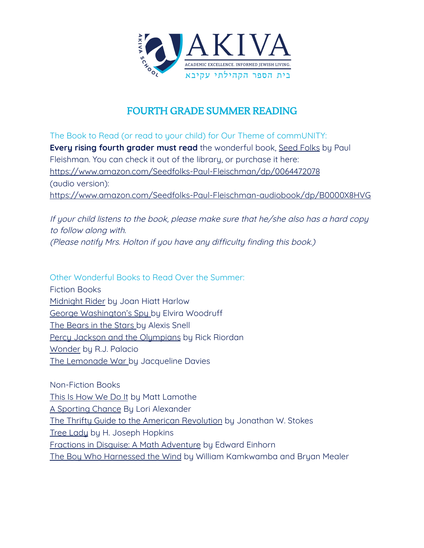

## FOURTH GRADE SUMMER READING

The Book to Read (or read to your child) for Our Theme of commUNITY: **Every rising fourth grader must read** the wonderful book, Seed Folks by Paul Fleishman. You can check it out of the library, or purchase it here: <https://www.amazon.com/Seedfolks-Paul-Fleischman/dp/0064472078> (audio version): <https://www.amazon.com/Seedfolks-Paul-Fleischman-audiobook/dp/B0000X8HVG>

If your child listens to the book, please make sure that he/she also has <sup>a</sup> hard copy to follow along with. (Please notify Mrs. Holton if you have any difficulty finding this book.)

Other Wonderful Books to Read Over the Summer: Fiction Books Midnight Rider by Joan Hiatt Harlow George Washington's Spy by Elvira Woodruff The Bears in the Stars by Alexis Snell Percy Jackson and the Olympians by Rick Riordan Wonder by R.J. Palacio The Lemonade War by Jacqueline Davies

Non-Fiction Books This Is How We Do It by Matt Lamothe A Sporting Chance By Lori Alexander The Thrifty Guide to the American Revolution by Jonathan W. Stokes Tree Lady by H. Joseph Hopkins Fractions in Disguise: A Math Adventure by Edward Einhorn The Boy Who Harnessed the Wind by William Kamkwamba and Bryan Mealer